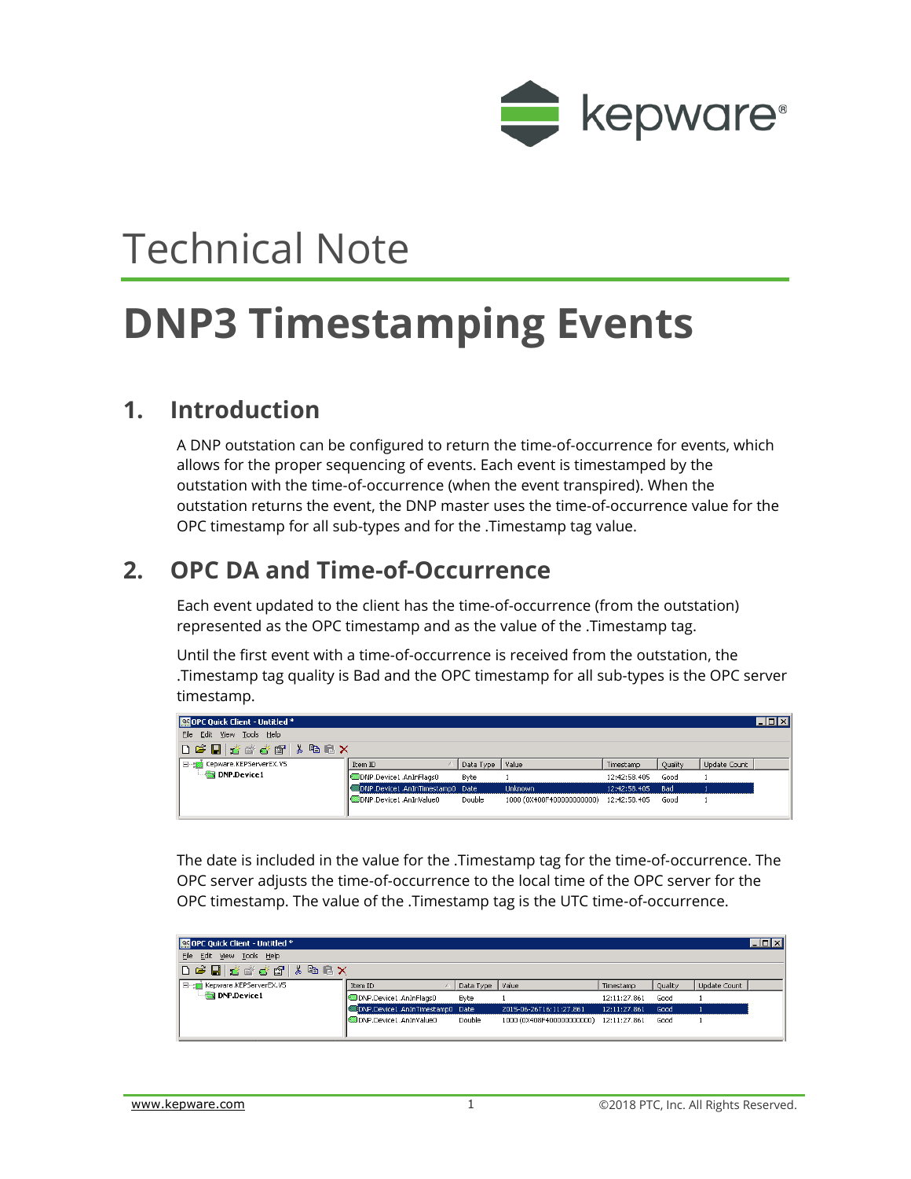

# Technical Note

## **DNP3 Timestamping Events**

#### **1. Introduction**

A DNP outstation can be configured to return the time-of-occurrence for events, which allows for the proper sequencing of events. Each event is timestamped by the outstation with the time-of-occurrence (when the event transpired). When the outstation returns the event, the DNP master uses the time-of-occurrence value for the OPC timestamp for all sub-types and for the .Timestamp tag value.

#### **2. OPC DA and Time-of-Occurrence**

Each event updated to the client has the time-of-occurrence (from the outstation) represented as the OPC timestamp and as the value of the .Timestamp tag.

Until the first event with a time-of-occurrence is received from the outstation, the .Timestamp tag quality is Bad and the OPC timestamp for all sub-types is the OPC server timestamp.

| OPC Quick Client - Untitled * |                                 |                 |                                        |                  |         |              | $\Box$ $\Box$ $\times$ |
|-------------------------------|---------------------------------|-----------------|----------------------------------------|------------------|---------|--------------|------------------------|
| File Edit View Tools Help     |                                 |                 |                                        |                  |         |              |                        |
| DGB 5 * * * 6 1 & 6 2 X       |                                 |                 |                                        |                  |         |              |                        |
| E-F Kepware.KEPServerEX.V5    | Item ID                         | Data Type Value |                                        | Timestamp        | Quality | Update Count |                        |
| $\blacksquare$ DNP.Device1    | ODNP.Device1.AnInFlags0         | Byte            |                                        | 12:42:58.405     | Good    |              |                        |
|                               | DNP.Device1.AnInTimestamp0 Date |                 | <b>Unknown</b>                         | 12:42:58.405 Bad |         |              |                        |
|                               | ODNP.Device1.AnInValue0         | Double          | 1000 (0X408F400000000000) 12:42:58.405 |                  | Good    |              |                        |

The date is included in the value for the .Timestamp tag for the time-of-occurrence. The OPC server adjusts the time-of-occurrence to the local time of the OPC server for the OPC timestamp. The value of the .Timestamp tag is the UTC time-of-occurrence.

| OPC Quick Client - Untitled * |                                 |                 |                                        |              |         |              | $\Box$ D $\mathbf{X}$ |
|-------------------------------|---------------------------------|-----------------|----------------------------------------|--------------|---------|--------------|-----------------------|
| File Edit View Tools Help     |                                 |                 |                                        |              |         |              |                       |
| D P H H H H H H H H K         |                                 |                 |                                        |              |         |              |                       |
| I ---- Kepware.KEPServerEX.V5 | Item ID                         | Data Type Value |                                        | Timestamp    | Quality | Update Count |                       |
| $\blacksquare$ DNP Device 1   | ONP.Device1.AnInFlags0          | Byte            |                                        | 12:11:27.861 | Good    |              |                       |
|                               | DNP.Device1.AnInTimestamp0 Date |                 | 2015-06-26T16:11:27.861                | 12:11:27.861 | Good    |              |                       |
|                               | ODNP.Device1.AnInValue0         | Double          | 1000 (0X408F400000000000) 12:11:27.861 |              | Good    |              |                       |
|                               |                                 |                 |                                        |              |         |              |                       |